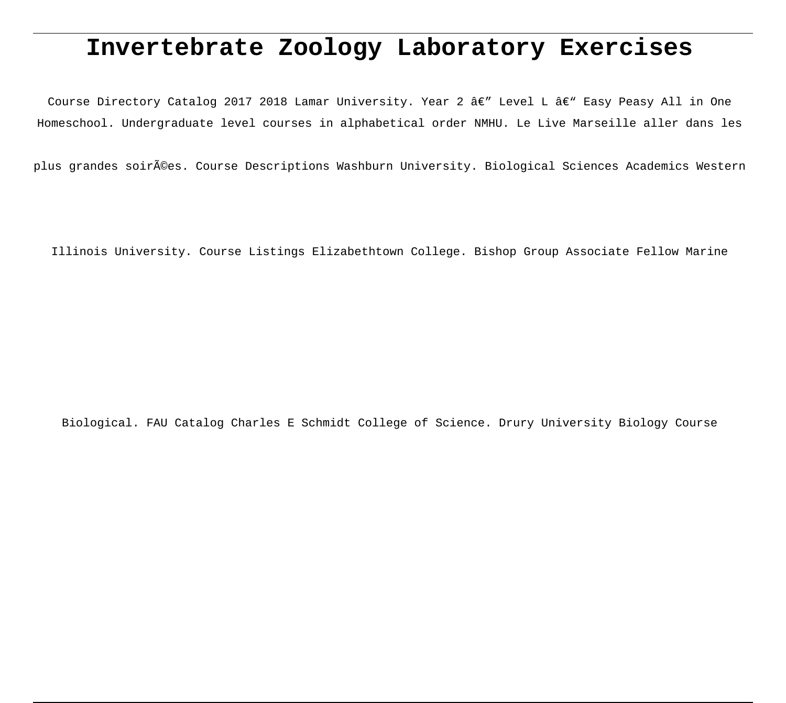# **Invertebrate Zoology Laboratory Exercises**

Course Directory Catalog 2017 2018 Lamar University. Year 2  $\hat{a}\in$ " Level L  $\hat{a}\in$ " Easy Peasy All in One Homeschool. Undergraduate level courses in alphabetical order NMHU. Le Live Marseille aller dans les

plus grandes soirées. Course Descriptions Washburn University. Biological Sciences Academics Western

Illinois University. Course Listings Elizabethtown College. Bishop Group Associate Fellow Marine

Biological. FAU Catalog Charles E Schmidt College of Science. Drury University Biology Course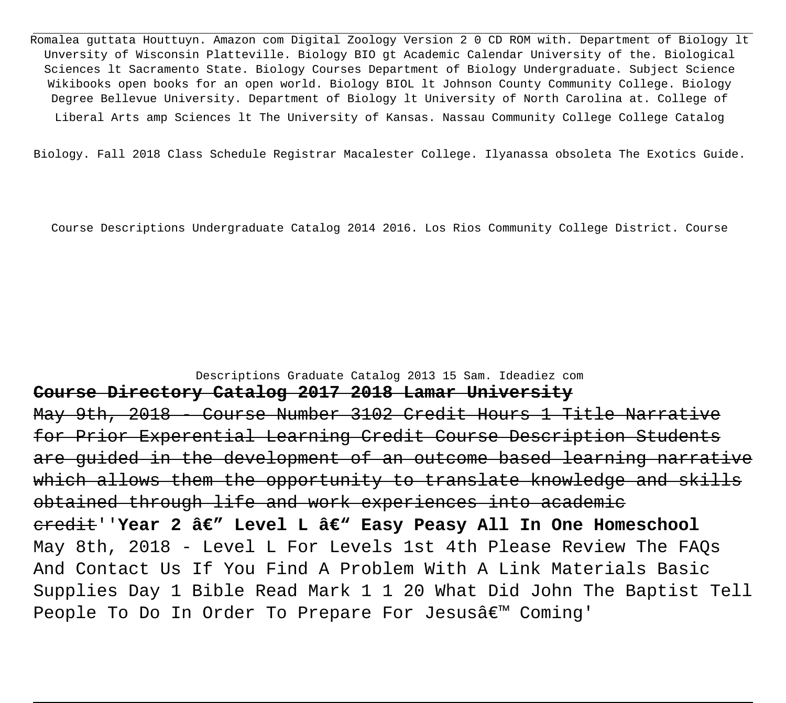Romalea guttata Houttuyn. Amazon com Digital Zoology Version 2 0 CD ROM with. Department of Biology lt Unversity of Wisconsin Platteville. Biology BIO gt Academic Calendar University of the. Biological Sciences lt Sacramento State. Biology Courses Department of Biology Undergraduate. Subject Science Wikibooks open books for an open world. Biology BIOL lt Johnson County Community College. Biology Degree Bellevue University. Department of Biology lt University of North Carolina at. College of Liberal Arts amp Sciences lt The University of Kansas. Nassau Community College College Catalog

Biology. Fall 2018 Class Schedule Registrar Macalester College. Ilyanassa obsoleta The Exotics Guide.

Course Descriptions Undergraduate Catalog 2014 2016. Los Rios Community College District. Course

### Descriptions Graduate Catalog 2013 15 Sam. Ideadiez com

### **Course Directory Catalog 2017 2018 Lamar University**

May 9th, 2018 - Course Number 3102 Credit Hours 1 Title Narrat for Prior Experential Learning Credit Course Description Students are guided in the development of an outcome based learning narrative which allows them the opportunity to translate knowledge and skills obtained through life and work experiences into academic credit''Year 2 â€" Level L â€" Easy Peasy All In One Homeschool May 8th, 2018 - Level L For Levels 1st 4th Please Review The FAQs And Contact Us If You Find A Problem With A Link Materials Basic Supplies Day 1 Bible Read Mark 1 1 20 What Did John The Baptist Tell People To Do In Order To Prepare For Jesusâ€<sup>™</sup> Coming'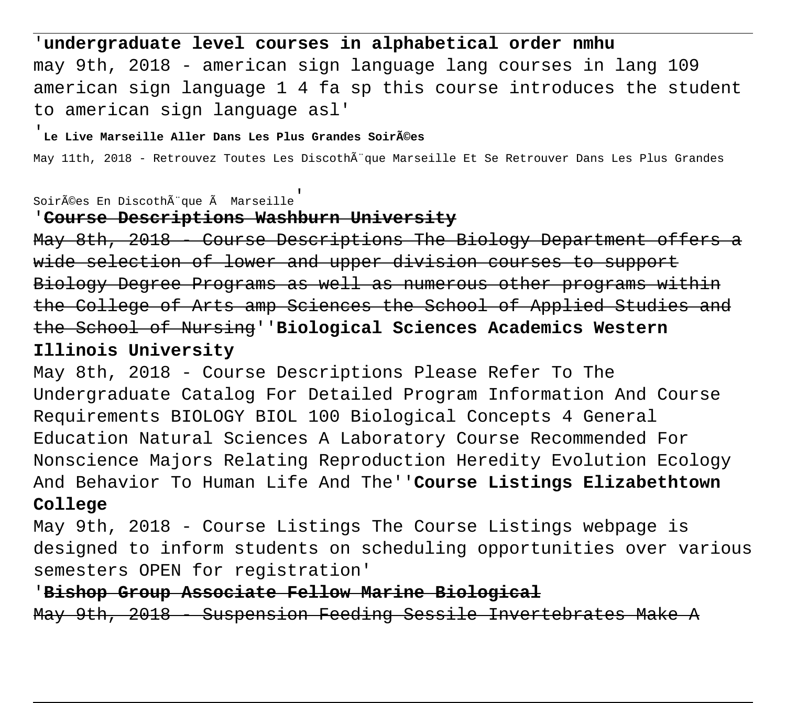## '**undergraduate level courses in alphabetical order nmhu**

may 9th, 2018 - american sign language lang courses in lang 109 american sign language 1 4 fa sp this course introduces the student to american sign language asl'

### Le Live Marseille Aller Dans Les Plus Grandes Soir**Ã**©es

May 11th, 2018 - Retrouvez Toutes Les Discothà que Marseille Et Se Retrouver Dans Les Plus Grandes

## soirées En Discothèque à Marseille

## '**Course Descriptions Washburn University**

May 8th, 2018 - Course Descriptions The Biology Department offers a wide selection of lower and upper division courses to support Biology Degree Programs as well as numerous other programs within the College of Arts amp Sciences the School of Applied Studies and the School of Nursing''**Biological Sciences Academics Western Illinois University**

May 8th, 2018 - Course Descriptions Please Refer To The Undergraduate Catalog For Detailed Program Information And Course Requirements BIOLOGY BIOL 100 Biological Concepts 4 General Education Natural Sciences A Laboratory Course Recommended For Nonscience Majors Relating Reproduction Heredity Evolution Ecology And Behavior To Human Life And The''**Course Listings Elizabethtown College**

May 9th, 2018 - Course Listings The Course Listings webpage is designed to inform students on scheduling opportunities over various semesters OPEN for registration'

'**Bishop Group Associate Fellow Marine Biological** May 9th, 2018 - Suspension Feeding Sessile Invertebrates Make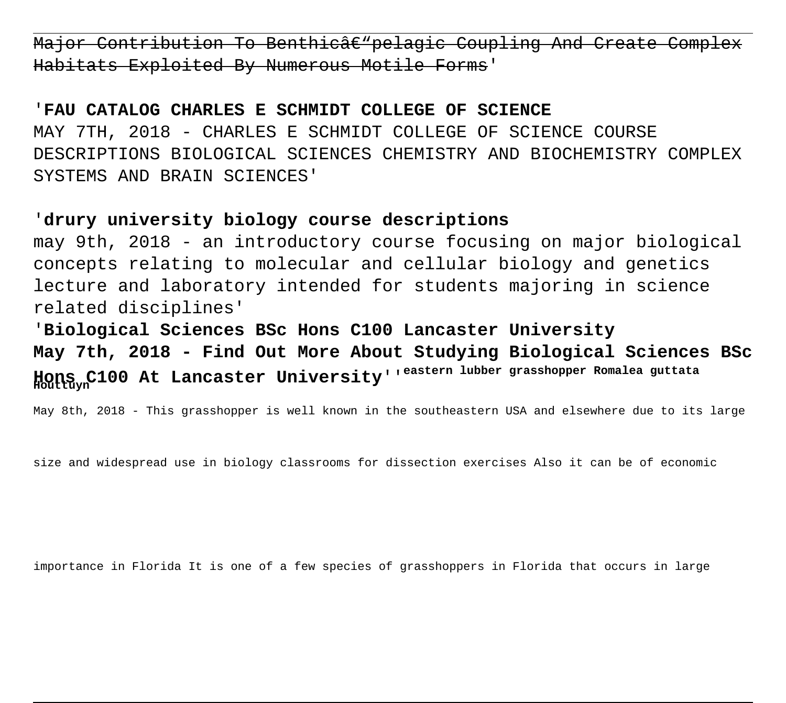Major Contribution To Benthicâe"pelagic Coupling And Create Habitats Exploited By Numerous Motile

## '**FAU CATALOG CHARLES E SCHMIDT COLLEGE OF SCIENCE**

MAY 7TH, 2018 - CHARLES E SCHMIDT COLLEGE OF SCIENCE COURSE DESCRIPTIONS BIOLOGICAL SCIENCES CHEMISTRY AND BIOCHEMISTRY COMPLEX SYSTEMS AND BRAIN SCIENCES'

## '**drury university biology course descriptions**

may 9th, 2018 - an introductory course focusing on major biological concepts relating to molecular and cellular biology and genetics lecture and laboratory intended for students majoring in science related disciplines'

'**Biological Sciences BSc Hons C100 Lancaster University May 7th, 2018 - Find Out More About Studying Biological Sciences BSc Hons C100 At Lancaster University**''**eastern lubber grasshopper Romalea guttata Houttuyn**

May 8th, 2018 - This grasshopper is well known in the southeastern USA and elsewhere due to its large

size and widespread use in biology classrooms for dissection exercises Also it can be of economic

importance in Florida It is one of a few species of grasshoppers in Florida that occurs in large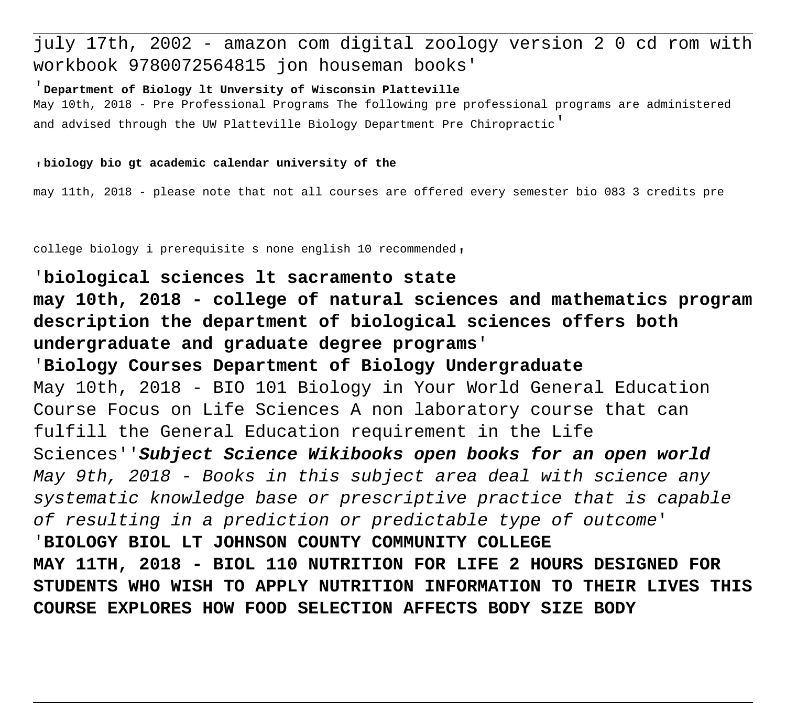## july 17th, 2002 - amazon com digital zoology version 2 0 cd rom with workbook 9780072564815 jon houseman books'

#### '**Department of Biology lt Unversity of Wisconsin Platteville**

May 10th, 2018 - Pre Professional Programs The following pre professional programs are administered and advised through the UW Platteville Biology Department Pre Chiropractic'

#### '**biology bio gt academic calendar university of the**

may 11th, 2018 - please note that not all courses are offered every semester bio 083 3 credits pre

college biology i prerequisite s none english 10 recommended,

## '**biological sciences lt sacramento state may 10th, 2018 - college of natural sciences and mathematics program description the department of biological sciences offers both**

**undergraduate and graduate degree programs**' '**Biology Courses Department of Biology Undergraduate** May 10th, 2018 - BIO 101 Biology in Your World General Education Course Focus on Life Sciences A non laboratory course that can fulfill the General Education requirement in the Life Sciences''**Subject Science Wikibooks open books for an open world** May 9th, 2018 - Books in this subject area deal with science any systematic knowledge base or prescriptive practice that is capable of resulting in a prediction or predictable type of outcome' '**BIOLOGY BIOL LT JOHNSON COUNTY COMMUNITY COLLEGE MAY 11TH, 2018 - BIOL 110 NUTRITION FOR LIFE 2 HOURS DESIGNED FOR STUDENTS WHO WISH TO APPLY NUTRITION INFORMATION TO THEIR LIVES THIS COURSE EXPLORES HOW FOOD SELECTION AFFECTS BODY SIZE BODY**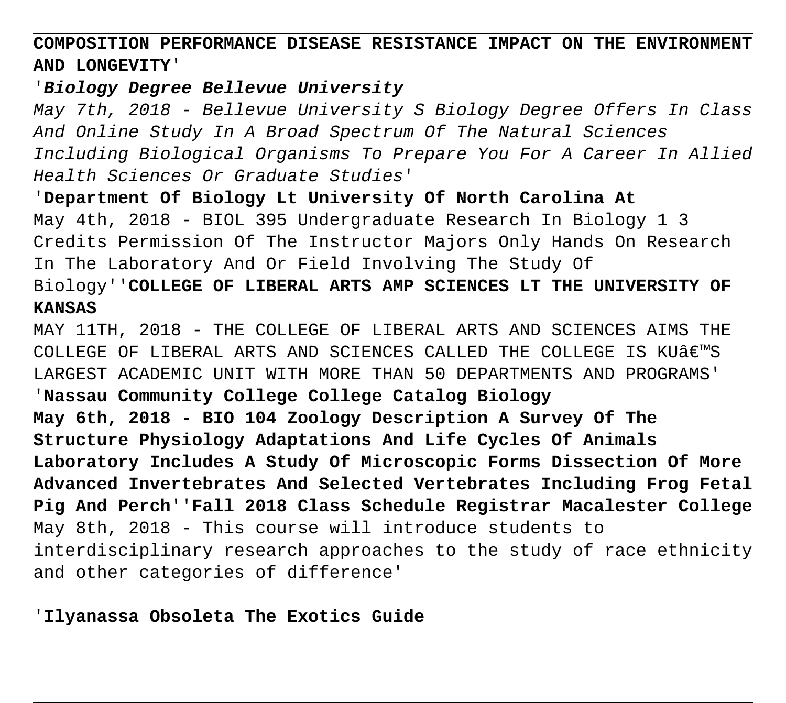**COMPOSITION PERFORMANCE DISEASE RESISTANCE IMPACT ON THE ENVIRONMENT AND LONGEVITY**'

## '**Biology Degree Bellevue University**

May 7th, 2018 - Bellevue University S Biology Degree Offers In Class And Online Study In A Broad Spectrum Of The Natural Sciences Including Biological Organisms To Prepare You For A Career In Allied Health Sciences Or Graduate Studies'

'**Department Of Biology Lt University Of North Carolina At** May 4th, 2018 - BIOL 395 Undergraduate Research In Biology 1 3 Credits Permission Of The Instructor Majors Only Hands On Research In The Laboratory And Or Field Involving The Study Of

## Biology''**COLLEGE OF LIBERAL ARTS AMP SCIENCES LT THE UNIVERSITY OF KANSAS**

MAY 11TH, 2018 - THE COLLEGE OF LIBERAL ARTS AND SCIENCES AIMS THE COLLEGE OF LIBERAL ARTS AND SCIENCES CALLED THE COLLEGE IS KUÂ $\epsilon$ <sup>m</sup>S LARGEST ACADEMIC UNIT WITH MORE THAN 50 DEPARTMENTS AND PROGRAMS' '**Nassau Community College College Catalog Biology May 6th, 2018 - BIO 104 Zoology Description A Survey Of The Structure Physiology Adaptations And Life Cycles Of Animals Laboratory Includes A Study Of Microscopic Forms Dissection Of More Advanced Invertebrates And Selected Vertebrates Including Frog Fetal Pig And Perch**''**Fall 2018 Class Schedule Registrar Macalester College** May 8th, 2018 - This course will introduce students to interdisciplinary research approaches to the study of race ethnicity and other categories of difference'

## '**Ilyanassa Obsoleta The Exotics Guide**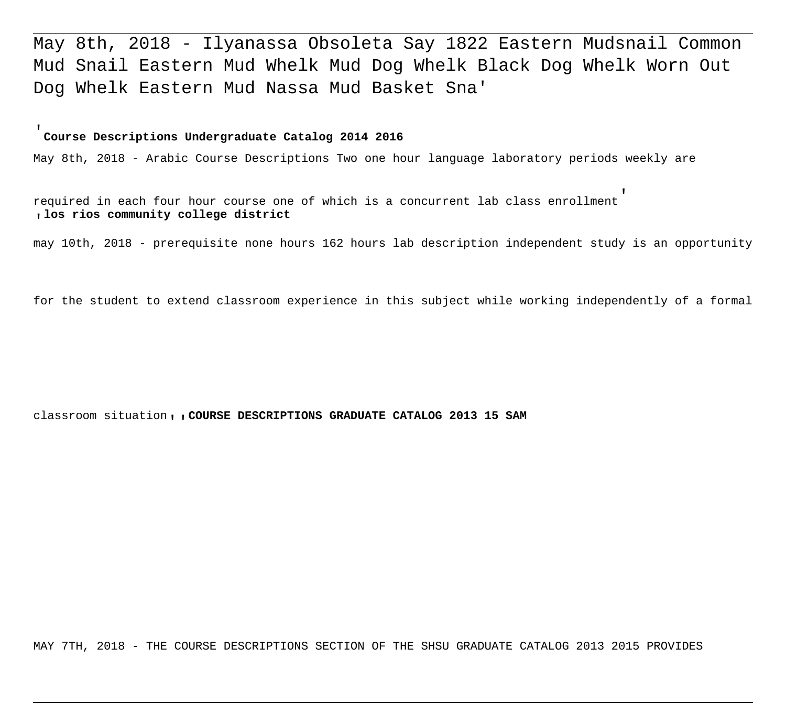May 8th, 2018 - Ilyanassa Obsoleta Say 1822 Eastern Mudsnail Common Mud Snail Eastern Mud Whelk Mud Dog Whelk Black Dog Whelk Worn Out Dog Whelk Eastern Mud Nassa Mud Basket Sna'

#### '**Course Descriptions Undergraduate Catalog 2014 2016**

May 8th, 2018 - Arabic Course Descriptions Two one hour language laboratory periods weekly are

required in each four hour course one of which is a concurrent lab class enrollment' '**los rios community college district**

may 10th, 2018 - prerequisite none hours 162 hours lab description independent study is an opportunity

for the student to extend classroom experience in this subject while working independently of a formal

classroom situation''**COURSE DESCRIPTIONS GRADUATE CATALOG 2013 15 SAM**

MAY 7TH, 2018 - THE COURSE DESCRIPTIONS SECTION OF THE SHSU GRADUATE CATALOG 2013 2015 PROVIDES